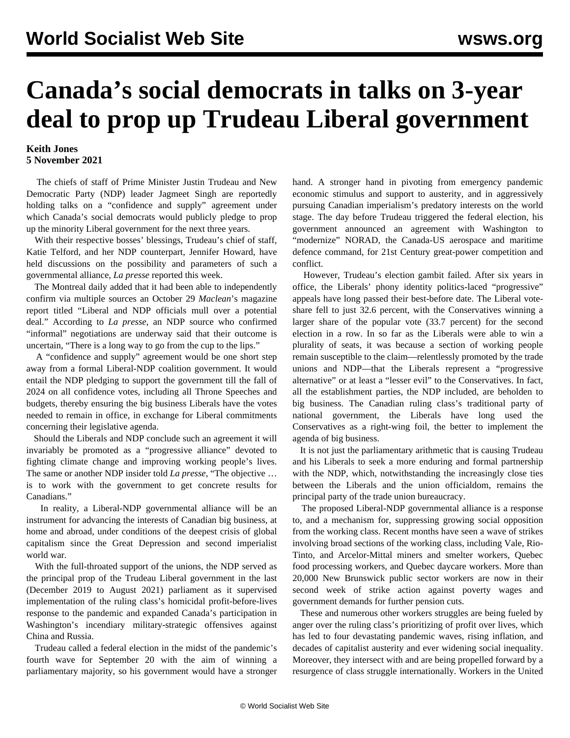## **Canada's social democrats in talks on 3-year deal to prop up Trudeau Liberal government**

## **Keith Jones 5 November 2021**

 The chiefs of staff of Prime Minister Justin Trudeau and New Democratic Party (NDP) leader Jagmeet Singh are reportedly holding talks on a "confidence and supply" agreement under which Canada's social democrats would publicly pledge to prop up the minority Liberal government for the next three years.

 With their respective bosses' blessings, Trudeau's chief of staff, Katie Telford, and her NDP counterpart, Jennifer Howard, have held discussions on the possibility and parameters of such a governmental alliance, *La presse* reported this week.

 The Montreal daily added that it had been able to independently confirm via multiple sources an October 29 *Maclean*'s magazine report titled "Liberal and NDP officials mull over a potential deal." According to *La presse*, an NDP source who confirmed "informal" negotiations are underway said that their outcome is uncertain, "There is a long way to go from the cup to the lips."

 A "confidence and supply" agreement would be one short step away from a formal Liberal-NDP coalition government. It would entail the NDP pledging to support the government till the fall of 2024 on all confidence votes, including all Throne Speeches and budgets, thereby ensuring the big business Liberals have the votes needed to remain in office, in exchange for Liberal commitments concerning their legislative agenda.

 Should the Liberals and NDP conclude such an agreement it will invariably be promoted as a "progressive alliance" devoted to fighting climate change and improving working people's lives. The same or another NDP insider told *La presse*, "The objective … is to work with the government to get concrete results for Canadians."

 In reality, a Liberal-NDP governmental alliance will be an instrument for advancing the interests of Canadian big business, at home and abroad, under conditions of the deepest crisis of global capitalism since the Great Depression and second imperialist world war.

 With the full-throated support of the unions, the NDP served as the principal prop of the Trudeau Liberal government in the last (December 2019 to August 2021) parliament as it supervised implementation of the ruling class's homicidal profit-before-lives response to the pandemic and expanded Canada's participation in Washington's incendiary military-strategic offensives against China and Russia.

 Trudeau called a federal election in the midst of the pandemic's fourth wave for September 20 with the aim of winning a parliamentary majority, so his government would have a stronger hand. A stronger hand in pivoting from emergency pandemic economic stimulus and support to austerity, and in aggressively pursuing Canadian imperialism's predatory interests on the world stage. The day before Trudeau triggered the federal election, his government announced an agreement with Washington to "modernize" NORAD, the Canada-US aerospace and maritime defence command, for 21st Century great-power competition and conflict.

 However, Trudeau's election gambit failed. After six years in office, the Liberals' phony identity politics-laced "progressive" appeals have long passed their best-before date. The Liberal voteshare fell to just 32.6 percent, with the Conservatives winning a larger share of the popular vote (33.7 percent) for the second election in a row. In so far as the Liberals were able to win a plurality of seats, it was because a section of working people remain susceptible to the claim—relentlessly promoted by the trade unions and NDP—that the Liberals represent a "progressive alternative" or at least a "lesser evil" to the Conservatives. In fact, all the establishment parties, the NDP included, are beholden to big business. The Canadian ruling class's traditional party of national government, the Liberals have long used the Conservatives as a right-wing foil, the better to implement the agenda of big business.

 It is not just the parliamentary arithmetic that is causing Trudeau and his Liberals to seek a more enduring and formal partnership with the NDP, which, notwithstanding the increasingly close ties between the Liberals and the union officialdom, remains the principal party of the trade union bureaucracy.

 The proposed Liberal-NDP governmental alliance is a response to, and a mechanism for, suppressing growing social opposition from the working class. Recent months have seen a wave of strikes involving broad sections of the working class, including Vale, Rio-Tinto, and Arcelor-Mittal miners and smelter workers, Quebec food processing workers, and Quebec daycare workers. More than 20,000 New Brunswick public sector workers are now in their second week of strike action against poverty wages and government demands for further pension cuts.

 These and numerous other workers struggles are being fueled by anger over the ruling class's prioritizing of profit over lives, which has led to four devastating pandemic waves, rising inflation, and decades of capitalist austerity and ever widening social inequality. Moreover, they intersect with and are being propelled forward by a resurgence of class struggle internationally. Workers in the United